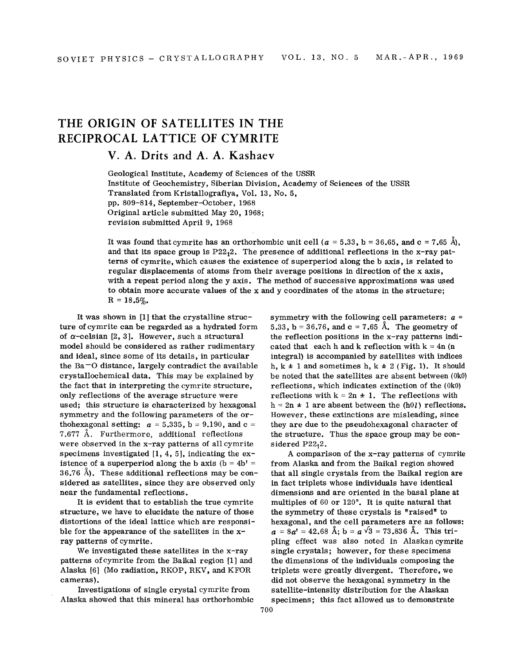## **THE ORIGIN OF SATELLITES IN THE RECIPROCAL LATTICE OF CYMRITE**

## **V. A. Drits and A. A. Kashaev**

Geological Institute, Academy of Sciences of the USSR Institute of Geochemistry, Siberian Division, Academy of Sciences of the USSR Translated from Kristallografiya, Vol. 13, No.5, pp. 809-814, September-October, 1968 Original article submitted May 20, 1968; revision submitted April 9, 1968

It was found that cymrite has an orthorhombic unit cell  $(a = 5.33, b = 36.65, and c = 7.65 \text{ Å}$ , and that its space group is  $P22_12$ . The presence of additional reflections in the x-ray patterns of cymrite, which causes the existence of superperiod along the b axis, is related to regular displacements of atoms from their average positions in direction of the x axis, with a repeat period along the y axis. The method of successive approximations was used to obtain more accurate values of the x and y coordinates of the atoms in the structure;  $R = 18.5\%$ .

It was shown in [1] that the crystalline structure of cymrite can be regarded as a hydrated form of  $\alpha$ -celsian [2, 3]. However, such a structural model should be considered as rather rudimentary and ideal, since some of its details, in particular the  $Ba = O$  distance, largely contradict the available crystallochemical data. This may be explained by the fact that in interpreting the cymrite structure, only reflections of the average structure were used; this structure is characterized by hexagonal symmetry and the following parameters of the orthohexagonal setting:  $a = 5.335$ ,  $b = 9.190$ , and  $c =$ 7.677 A. Furthermore, additional reflections were observed in the x-ray patterns of all cymrite specimens investigated  $[1, 4, 5]$ , indicating the existence of a superperiod along the b axis  $(b = 4b' =$ 36.76 A). These additional reflections may be considered as satellites, since they are observed only near the fundamental reflections.

It is evident that to establish the true cymrite structure, we have to elucidate the nature of those distortions of the ideal lattice which are responsible for the appearance of the satellites in the xray patterns of cymrite.

We investigated these satellites in the x-ray patterns of cymrite from the Baikal region [1] and Alaska [6] (Mo radiation, RKOP, RKV, and KFOR cameras).

Investigations of single crystal cymrite from Alaska showed that this mineral has orthorhombic symmetry with the following cell parameters: *a =* 5.33, b = 36.76, and c = 7.65 Å. The geometry of the reflection positions in the x-ray patterns indicated that each h and k reflection with  $k = 4n$  (n integral) is accompanied by satellites with indices h,  $k \pm 1$  and sometimes h,  $k \pm 2$  (Fig. 1). It should be noted that the satellites are absent between (OkO) reflections, which indicates extinction of the (OkO) reflections with  $k = 2n \pm 1$ . The reflections with  $h = 2n \pm 1$  are absent between the (h0*l*) reflections. However, these extinctions are misleading, since they are due to the pseudohexagonal character of the structure. Thus the space group may be considered  $P22<sub>1</sub>2$ .

A comparison of the x-ray patterns of cymrite from Alaska and from the Baikal region showed that all single crystals from the Baikal region are in fact triplets whose individuals have identical dimensions and are oriented in the basal plane at multiples of 60 or  $120^\circ$ . It is quite natural that the symmetry of these crystals is "raised" to hexagonal, and the cell parameters are as follows:  $a = 8a' = 42.68$  Å;  $b = a\sqrt{3} = 73.836$  Å. This tripling effect was also noted in Alaskan cymrite single crystals; however, for these specimens the dimensions of the individuals composing the triplets were greatly divergent. Therefore, we did not observe the hexagonal symmetry in the satellite-intensity distribution for the Alaskan specimens; this fact allowed us to demonstrate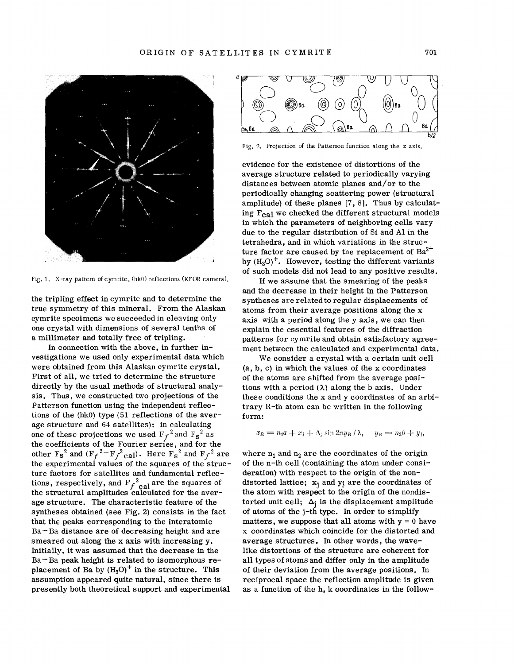

Fig. 1. X-ray pattern of cymrite, (hk0) reflections (KFOR camera).

the tripling effect in cymrite and to determine the true symmetry of this mineral. From the Alaskan cymrite specimens we succeeded in cleaving only one crystal with dimensions of several tenths of a millimeter and totally free of tripling.

In connection with the above, in further investigations we used only experimental data which were obtained from this Alaskan cymrite crystal. First of all, we tried to determine the structure directly by the usual methods of structural analysis. Thus, we constructed two projections of the Patterson function using the independent reflections of the (hkO) type (51 reflections of the average structure and 64 satellites): in calculating one of these projections we used  $F_f^2$  and  $F_S^2$  as the coefficients of the Fourier series, and for the other F<sub>S</sub><sup>2</sup> and (F<sub>f</sub><sup>2-</sup>F<sub>f</sub><sup>2</sup>cal). Here F<sub>S</sub><sup>2</sup> and F<sub>f</sub><sup>2</sup> are<br>the experimental values of the squares of the struc the experimental values of the squares of the structure factors for satellites and fundamental reflections, respectively, and  $\mathrm{F_f}^2_{\text{cal}}$  are the squares of the structural amplitudes calculated for the average structure. The characteristic feature of the syntheses obtained (see Fig. 2) consists in the fact that the peaks corresponding to the interatomic Ba - Ba distance are of decreasing height and are smeared out along the x axis with increasing  $v$ . Initially, it was assumed that the decrease in the  $Ba - Ba$  peak height is related to isomorphous replacement of Ba by  $(H_3O)^+$  in the structure. This assumption appeared quite natural, since there is presently both theoretical support and experimental



Fig. 2. Projection of the Patterson function along the z axis.

evidence for the existence of distortions of the average structure related to periodically varying distances between atomic planes and/or to the periodically changing scattering power (structural amplitude) of these planes [7, 8]. Thus by calculating  $F_{\text{cal}}$  we checked the different structural models in which the parameters of neighboring cells vary due to the regular distribution of Si and Al in the tetrahedra, and in which variations in the structure factor are caused by the replacement of  $Ba^{2+}$ by  $(H_3O)^+$ . However, testing the different variants of such models did not lead to any positive results.

If we assume that the smearing of the peaks and the decrease in their height in the Patterson syntheses are related to regular displacements of atoms from their average positions along the x axis with a period along the y axis, we can then explain the essential features of the diffraction patterns for cymrite and obtain satisfactory agreement between the calculated and experimental data.

We consider a crystal with a certain unit cell (a, b, c) in which the values of the x coordinates of the atoms are shifted from the average positions with a period  $(\lambda)$  along the b axis. Under these conditions the x and y coordinates of an arbitrary R-th atom can be written in the following form:

$$
x_R = n_1 a + x_j + \Delta_j \sin 2\pi y_R / \lambda, \quad y_R = n_2 b + y_j,
$$

where  $n_1$  and  $n_2$  are the coordinates of the origin of the n-th cell (containing the atom under consideration) with respect to the origin of the nondistorted lattice;  $x_i$  and  $y_j$  are the coordinates of the atom with respect to the origin of the nondistorted unit cell;  $\Delta_i$  is the displacement amplitude of atoms of the j-th type. In order to simplify matters, we suppose that all atoms with  $y = 0$  have x coordinates which coincide for the distorted and average structures. In other words, the wavelike distortions of the structure are coherent for all types of atoms and differ only in the amplitude of their deviation from the average positions. In reciprocal space the reflection amplitude is given as a function of the h, k coordinates in the follow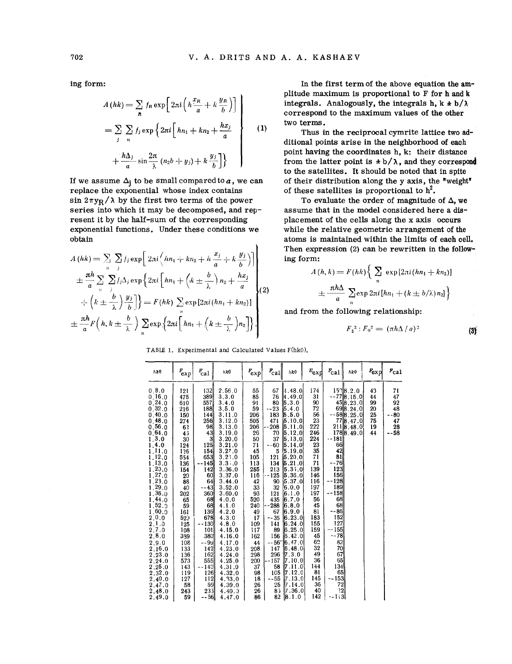ing form:

$$
A(hk) = \sum_{n} f_n \exp\left[2\pi i \left(h\frac{x_n}{a} + k\frac{y_n}{b}\right)\right]
$$
  
=  $\sum_{j} \sum_{n} f_j \exp\left\{2\pi i \left[hn_1 + kn_2 + \frac{hx_j}{a}\right]\right\}$  (1)  
+  $\frac{h\Delta_j}{a} \sin\frac{2\pi}{\lambda} (n_2b + y_j) + k\frac{y_j}{b}$ 

If we assume  $\Delta_j$  to be small compared to *a*, we can replace the exponential whose index contains sin  $2\pi y_R/\lambda$  by the first two terms of the power series into which it may be decomposed, and  $rep^$ resent it by the half-sum of the corresponding exponential functions. Under these conditions we obtain  $\mathbf{r}$ 

$$
A(hk) = \sum_{n} \sum_{j} f_{j} \exp \left[ 2\pi i \left( hn_{1} + kn_{2} + h \frac{x_{j}}{a} + k \frac{y_{j}}{b}) \right] + \frac{\pi h}{a} \sum_{n} \sum_{j} f_{j} \Delta_{j} \exp \left\{ 2\pi i \left[ hn_{1} + \left( k \pm \frac{b}{\lambda} \right) n_{2} + \frac{hx_{j}}{a} \right] \right\} + \left( k \pm \frac{b}{\lambda} \right) \frac{y_{j}}{b} \right] = F(hk) \sum_{n} \exp \left[ 2\pi i (hn_{1} + kn_{2}) \right] + \frac{\pi h}{a} F\left( h, k \pm \frac{b}{\lambda} \right) \sum_{n} \exp \left\{ 2\pi i \left[ hn_{1} + \left( k \pm \frac{b}{\lambda} \right) n_{2} \right] \right\}.
$$

In the first term of the above equation the amplitude maximum is proportional to F for h and k integrals. Analogously, the integrals h,  $k \pm b/\lambda$ correspond to the maximum values of the other two terms.

Thus in the reciprocal cymrite lattice two additional points arise in the neighborhood of each point having the coordinates h, k: their distance from the latter point is  $\pm b/\lambda$ , and they correspond to the satellites. It should be noted that in spite of their distribution along the y axis, the "weight' of these satellites is proportional to  $h^2$ .

To evaluate the order of magnitude of  $\Delta$ , we assume that in the model considered here a displacement of the cells along the x axis occurs while the relative geometric arrangement of the atoms is maintained within the limits of each cell. Then expression (2) can be rewritten in the following form:

$$
A(h, k) = F(hk) \left\{ \sum_{n} \exp\left[2\pi i (hn_1 + kn_2)\right] \right.
$$
  

$$
\pm \frac{\pi h \Delta}{a} \sum_{n} \exp 2\pi i [hn_1 + (k \pm b/\lambda) n_2] \left\}
$$

and from the following relationship:

$$
F_{\mathsf{s}}^2: F_{\mathsf{o}}^2 = (\pi h \Delta / a)^2 \tag{3}
$$

| hk0                                                                                                                                                                                                                                                                                                                       | $r_{exp}$                                                                                                                                                                                                            | $r_{\rm cal}$                                                                                                                                                                                                                             | hk0                                                                                                                                                                                                                                                                                                                     | $F_{\rm exp}$                                                                                                                                                                                               | $r_{\rm cal}$                                                                                                                                                                                                                        | hk0                                                                                                                                                                                                                                                                                                                                                                                                      | $E_{\mbox{exp}}$                                                                                                                                                                                           | $F_{\rm{cal}}$                                                                                                                                                                     | hk0                                                                                                                    | $r_{\rm exp}$                                | $r_{\text{ca}}$                                    |
|---------------------------------------------------------------------------------------------------------------------------------------------------------------------------------------------------------------------------------------------------------------------------------------------------------------------------|----------------------------------------------------------------------------------------------------------------------------------------------------------------------------------------------------------------------|-------------------------------------------------------------------------------------------------------------------------------------------------------------------------------------------------------------------------------------------|-------------------------------------------------------------------------------------------------------------------------------------------------------------------------------------------------------------------------------------------------------------------------------------------------------------------------|-------------------------------------------------------------------------------------------------------------------------------------------------------------------------------------------------------------|--------------------------------------------------------------------------------------------------------------------------------------------------------------------------------------------------------------------------------------|----------------------------------------------------------------------------------------------------------------------------------------------------------------------------------------------------------------------------------------------------------------------------------------------------------------------------------------------------------------------------------------------------------|------------------------------------------------------------------------------------------------------------------------------------------------------------------------------------------------------------|------------------------------------------------------------------------------------------------------------------------------------------------------------------------------------|------------------------------------------------------------------------------------------------------------------------|----------------------------------------------|----------------------------------------------------|
| 0.8.0<br>0.16.0<br>0.24.0<br>0.32.0<br>0.40.0<br>0,48.0<br>0.56.0<br>0.64.0<br>1, 3, 0<br>1, 4.0<br>1.11.0<br>1.12.0<br>1,13.0<br>1,20.0<br>1.27.0<br>1, 23, 0<br>1.29.0<br>1.36.0<br>1.44.0<br>1,52,9<br>1,60.0<br>2.0.0<br>2.1.0<br>2.7.0<br>2.8.0<br>2.9.0<br>2.16.0<br>2.23.0<br>2.24.0<br>2.25.0<br>2.32.0<br>2.40.0 | 121<br>475<br>610<br>216<br>150<br>274<br>6?<br>43<br>30<br>124<br>126<br>554<br>136<br>154<br>20<br>88<br>40<br>202<br>65<br>59<br>161<br>520<br>125<br>108<br>339<br>108<br>133<br>136<br>573<br>143<br>119<br>127 | 132<br>389<br>557<br>188<br>144  <br>256<br>98<br>43<br>3<br>125<br>154<br>653<br>145<br>142<br>60<br>64<br>- 43<br>360 <sup>1</sup><br>68<br>68<br>136<br>678<br>--130 <br>1011<br>380<br>--99<br>142<br>162<br>555<br>140<br>126<br>112 | 2.56.0<br>3.3.0<br>3.4.0<br>3.5.0<br>3.11.0<br>3.12.0<br>3.13.0<br>3.19.0<br>3.20.0<br>3.21.0<br>3,27,0<br>$3.2$ , 0<br>3.3, 0<br>3.36.0<br>3.37.0<br>3.44.0<br>3.52.0<br>3.60.0<br>4.0.0<br>4.1.0<br>4.2.0<br>4.3.0<br>4.8.0<br>4.15.0<br>4.16.0<br>4.17.0<br>4.23.0<br>4.24.0<br>4.25.0<br>4.31.0<br>4.32,0<br>4.33.0 | 55<br>85<br>91<br>59<br>206<br>505<br>206<br>26<br>50<br>71<br>45<br>105<br>113<br>255<br>116<br>42<br>33<br>93<br>520<br>240<br>49<br>17<br>109<br>117<br>162<br>44<br>208<br>298<br>200<br>37<br>98<br>18 | 67<br>76<br>80<br>$-23$<br>183<br>471<br>--208<br>70<br>37<br>$-60$<br>5<br>121<br>134<br>213<br>--125<br>90<br>32<br>121<br>435<br>--288<br>67<br>$-35$<br>141<br>89<br>156<br>-- 56"<br>147<br>296<br>$-157$<br>58<br>105<br>$-55$ | $\ket{4.48.0}$<br>4.49.0<br>5.3.0<br> 5.4.0 <br> 5.5.0<br> 5.10.0 <br> 5.11.0 <br> 5.12.0 <br>$\vert 5.13.0 \vert$<br> 5.14.0 <br>15.19.01<br> 5.20.0 <br>5.21.0<br>5.35.0<br> 5.36.0<br> 5.37.0<br>6.0.0<br> 6.1.0<br>6.7.0<br> 6.8.0 <br>6.9.0<br>[6.23.0]<br>$\vert 6.24.0$<br>6.25.0<br> 6.42.0<br>16.47.01<br> 6.48,0 <br>7.3.0<br>$\vert 7.10.0 \vert$<br> 7.11.0 <br>7.12.0<br>$\parallel$ 7.13.0 | 174<br>31<br>90<br>72<br>56<br>23<br>222<br>246<br>224<br>23<br>35<br>71<br>71<br>139<br>146<br>116<br>197<br>197<br>56<br>45<br>81<br>183<br>155<br>159<br>45<br>62<br>32<br>49<br>36<br>144<br>81<br>145 | 211<br>-- 181<br>66<br>42<br>81<br>-761<br>123<br>156<br>128<br>189<br>$-158$<br>68<br>68<br>--86<br>152<br>127<br>155<br>⊷<br>$-78$<br>82<br>70<br>67<br>65<br>134<br>65<br>--153 | $15^{\circ}$ 8.2.0<br>778.15.0<br>458.23.0<br>698.24.0<br>$-588.25.0$<br>778.47.0<br>$\vert 8.48.0 \vert$<br>1788.49.0 | 43<br>44<br>99<br>20<br>25<br>75<br>19<br>44 | 71<br>47<br>92<br>48<br>$-80$<br>47<br>28<br>$-58$ |
| 2.47.0<br>2.48.0<br>2.49.0                                                                                                                                                                                                                                                                                                | 58<br>243<br>59                                                                                                                                                                                                      | 59<br>235 <br>--66                                                                                                                                                                                                                        | 4.39.0<br>4.40.3<br>4.47.0                                                                                                                                                                                                                                                                                              | 26<br>26<br>86                                                                                                                                                                                              | 25<br>85<br>82                                                                                                                                                                                                                       | 7.14.0 <br> 7.36.0 <br>$\vert 8.1.0 \vert$                                                                                                                                                                                                                                                                                                                                                               | 36<br>40<br>142                                                                                                                                                                                            | 72<br>22<br>--113                                                                                                                                                                  |                                                                                                                        |                                              |                                                    |

TABlE 1. Experimental and Calculated Values F(hkO).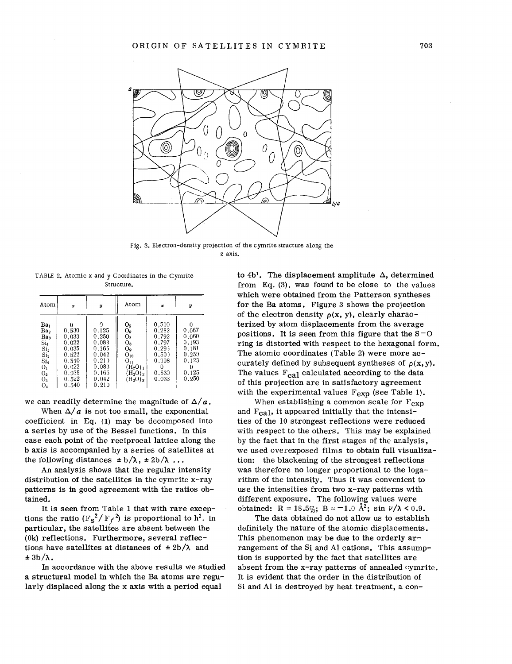

Fig. 3. Electron-density projection of the cymrite structure along the z axis.

TABLE 2. Atomic x and y Coordinates in the Cymrite Structure.

| Atom                                                                                                                                                         | $\mathbf x$                                                                                 | y                                                                                           | Atom                                                                                                                                              | $\mathbf{x}$                                                                  | V                                                                         |
|--------------------------------------------------------------------------------------------------------------------------------------------------------------|---------------------------------------------------------------------------------------------|---------------------------------------------------------------------------------------------|---------------------------------------------------------------------------------------------------------------------------------------------------|-------------------------------------------------------------------------------|---------------------------------------------------------------------------|
| Ba <sub>l</sub><br>Ba <sub>2</sub><br>Ba <sub>3</sub><br>Si,<br>Si <sub>2</sub><br>$\mathrm{Si}_3$<br>Si4<br>O <sub>1</sub><br>O <sub>2</sub><br>$O_3$<br>04 | O<br>0.530<br>0.033<br>0.022<br>0.035<br>0.522<br>0,540<br>0.022<br>0.035<br>0.522<br>0.540 | 0<br>0.125<br>0,250<br>0.083<br>0.165<br>0.042<br>0.213<br>0,083<br>0.165<br>0.042<br>0,210 | O <sub>5</sub><br>$O_6$<br>0 <sub>2</sub><br>$O_{R}$<br>О,<br>$O_{10}$<br>$O_{11}$<br>$(H_2O)_1$<br>$(H_2O)_2$<br>(H <sub>2</sub> O) <sub>3</sub> | 0.500<br>0,282<br>0.792<br>0.797<br>0.295<br>0,50)<br>0.008<br>0.530<br>0,033 | 0<br>0,067<br>0.060<br>0.193<br>0.181<br>0.250<br>0.123<br>0.125<br>0.250 |

we can readily determine the magnitude of  $\Delta/a$ .

When  $\Delta/a$  is not too small, the exponential coefficient in Eq. (1) may be decomposed into a series by use of the Bessel functions. In this case each point of the reciprocal lattice along the b axis is accompanied by a series of satellites at the following distances  $\pm b/\lambda$ ,  $\pm 2b/\lambda$ ...

An analysis shows that the regular intensity distribution of the satellites in the cymrite x-ray patterns is in good agreement with the ratios obtained.

It is seen from Table 1 that with rare exceptions the ratio  $(F_S^2/F_f^2)$  is proportional to h<sup>2</sup>. In particular, the satellites are absent between the (Ok) reflections. Furthermore, several reflections have satellites at distances of  $\pm 2b/\lambda$  and  $\pm$  3b/ $\lambda$ .

In accordance with the above results we studied a structural model in which the Ba atoms are regularly displaced along the x axis with a period equal

to 4b'. The displacement amplitude  $\Delta$ , determined from Eq. (3), was found to be close to the values which were obtained from the Patterson syntheses for the Ba atoms. Figure 3 shows the projection of the electron density  $\rho(x, y)$ , clearly characterized by atom displacements from the average positions. It is seen from this figure that the  $S-O$ ring is distorted with respect to the hexagonal form. The atomic coordinates (Table 2) were more accurately defined by subsequent syntheses of *p(x,* y). The values  $F_{cal}$  calculated according to the data of this projection are in satisfactory agreement with the experimental values  $F_{\text{exp}}$  (see Table 1).

When establishing a common scale for  $F_{\rm exp}$ and  $F_{\text{cal}}$ , it appeared initially that the intensities of the 10 strongest reflections were reduced with respect to the others. This may be explained by the fact that in the first stages of the analysis, we used overexposed films to obtain full visualization: the blackening of the strongest reflections was therefore no longer proportional to the logarithm of the intensity. Thus it was convenient to use the intensities from two x-ray patterns with different exposure. The following values were obtained: R = 18.5%; B =  $-1.0$  Å<sup>2</sup>; sin  $\nu/\lambda < 0.9$ .

The data obtained do not allow us to establish definitely the nature of the atomic displacements. This phenomenon may be due to the orderly arrangement of the Si and Al cations. This assumption is supported by the fact that satellites are absent from the x-ray patterns of annealed cymrite. It is evident that the order in the distribution of Si and Al is destroyed by heat treatment, a con